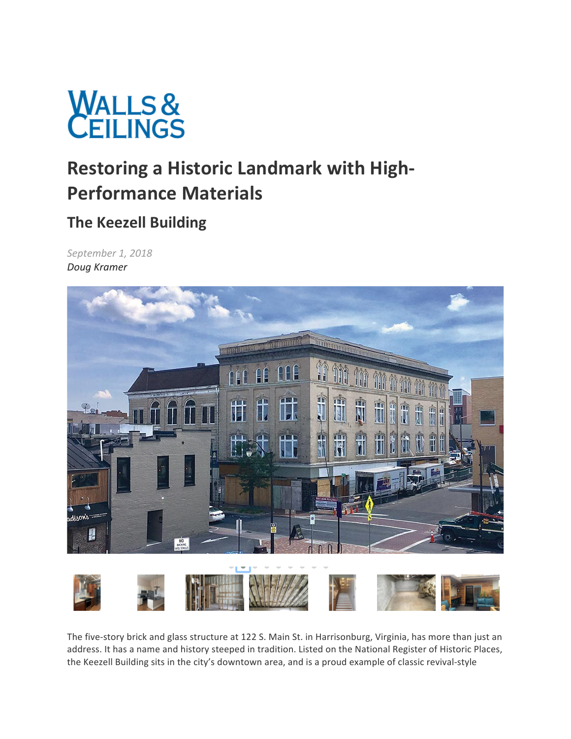

# **Restoring a Historic Landmark with High-Performance Materials**

## **The Keezell Building**

*September 1, 2018 Doug Kramer*



The five-story brick and glass structure at 122 S. Main St. in Harrisonburg, Virginia, has more than just an address. It has a name and history steeped in tradition. Listed on the National Register of Historic Places, the Keezell Building sits in the city's downtown area, and is a proud example of classic revival-style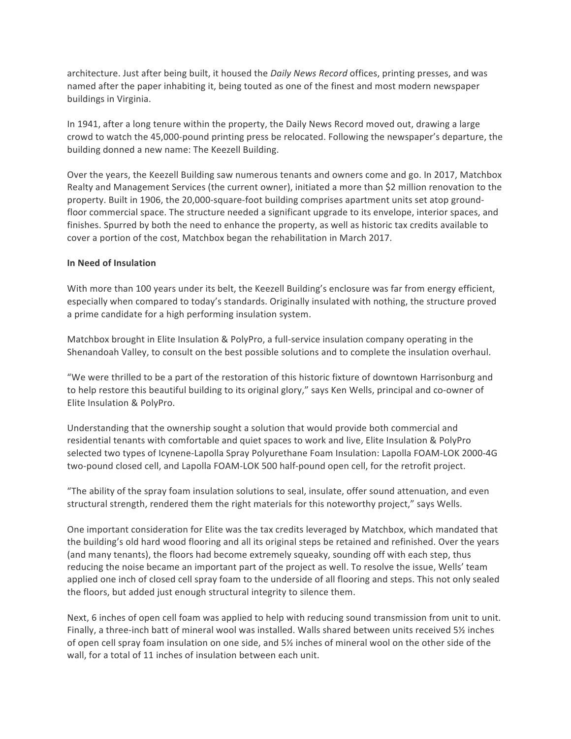architecture. Just after being built, it housed the *Daily News Record* offices, printing presses, and was named after the paper inhabiting it, being touted as one of the finest and most modern newspaper buildings in Virginia.

In 1941, after a long tenure within the property, the Daily News Record moved out, drawing a large crowd to watch the 45,000-pound printing press be relocated. Following the newspaper's departure, the building donned a new name: The Keezell Building.

Over the years, the Keezell Building saw numerous tenants and owners come and go. In 2017, Matchbox Realty and Management Services (the current owner), initiated a more than \$2 million renovation to the property. Built in 1906, the 20,000-square-foot building comprises apartment units set atop groundfloor commercial space. The structure needed a significant upgrade to its envelope, interior spaces, and finishes. Spurred by both the need to enhance the property, as well as historic tax credits available to cover a portion of the cost, Matchbox began the rehabilitation in March 2017.

### **In Need of Insulation**

With more than 100 years under its belt, the Keezell Building's enclosure was far from energy efficient, especially when compared to today's standards. Originally insulated with nothing, the structure proved a prime candidate for a high performing insulation system.

Matchbox brought in Elite Insulation & PolyPro, a full-service insulation company operating in the Shenandoah Valley, to consult on the best possible solutions and to complete the insulation overhaul.

"We were thrilled to be a part of the restoration of this historic fixture of downtown Harrisonburg and to help restore this beautiful building to its original glory," says Ken Wells, principal and co-owner of Elite Insulation & PolyPro.

Understanding that the ownership sought a solution that would provide both commercial and residential tenants with comfortable and quiet spaces to work and live, Elite Insulation & PolyPro selected two types of Icynene-Lapolla Spray Polyurethane Foam Insulation: Lapolla FOAM-LOK 2000-4G two-pound closed cell, and Lapolla FOAM-LOK 500 half-pound open cell, for the retrofit project.

"The ability of the spray foam insulation solutions to seal, insulate, offer sound attenuation, and even structural strength, rendered them the right materials for this noteworthy project," says Wells.

One important consideration for Elite was the tax credits leveraged by Matchbox, which mandated that the building's old hard wood flooring and all its original steps be retained and refinished. Over the years (and many tenants), the floors had become extremely squeaky, sounding off with each step, thus reducing the noise became an important part of the project as well. To resolve the issue, Wells' team applied one inch of closed cell spray foam to the underside of all flooring and steps. This not only sealed the floors, but added just enough structural integrity to silence them.

Next, 6 inches of open cell foam was applied to help with reducing sound transmission from unit to unit. Finally, a three-inch batt of mineral wool was installed. Walls shared between units received 5½ inches of open cell spray foam insulation on one side, and 5% inches of mineral wool on the other side of the wall, for a total of 11 inches of insulation between each unit.